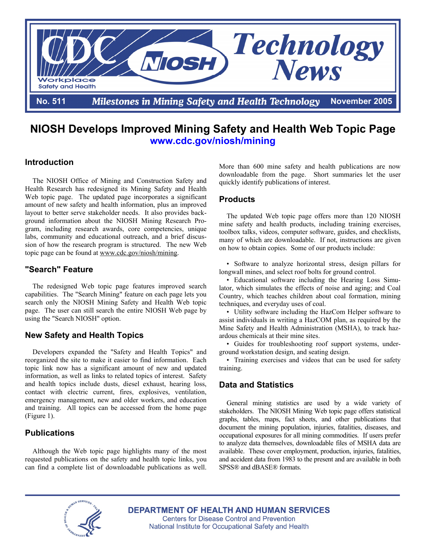

# **NIOSH Develops Improved Mining Safety and Health Web Topic Page www.cdc.gov/niosh/mining**

# **Introduction**

The NIOSH Office of Mining and Construction Safety and Health Research has redesigned its Mining Safety and Health Web topic page. The updated page incorporates a significant amount of new safety and health information, plus an improved layout to better serve stakeholder needs. It also provides background information about the NIOSH Mining Research Program, including research awards, core competencies, unique labs, community and educational outreach, and a brief discussion of how the research program is structured. The new Web topic page can be found at www.cdc.gov/niosh/mining.

### **"Search" Feature**

The redesigned Web topic page features improved search capabilities. The "Search Mining" feature on each page lets you search only the NIOSH Mining Safety and Health Web topic page. The user can still search the entire NIOSH Web page by using the "Search NIOSH" option.

# **New Safety and Health Topics**

Developers expanded the "Safety and Health Topics" and reorganized the site to make it easier to find information. Each topic link now has a significant amount of new and updated information, as well as links to related topics of interest. Safety and health topics include dusts, diesel exhaust, hearing loss, contact with electric current, fires, explosives, ventilation, emergency management, new and older workers, and education and training. All topics can be accessed from the home page (Figure 1).

# **Publications**

Although the Web topic page highlights many of the most requested publications on the safety and health topic links, you can find a complete list of downloadable publications as well. More than 600 mine safety and health publications are now downloadable from the page. Short summaries let the user quickly identify publications of interest.

#### **Products**

The updated Web topic page offers more than 120 NIOSH mine safety and health products, including training exercises, toolbox talks, videos, computer software, guides, and checklists, many of which are downloadable. If not, instructions are given on how to obtain copies. Some of our products include:

• Software to analyze horizontal stress, design pillars for longwall mines, and select roof bolts for ground control.

• Educational software including the Hearing Loss Simulator, which simulates the effects of noise and aging; and Coal Country, which teaches children about coal formation, mining techniques, and everyday uses of coal.

• Utility software including the HazCom Helper software to assist individuals in writing a HazCOM plan, as required by the Mine Safety and Health Administration (MSHA), to track hazardous chemicals at their mine sites.

• Guides for troubleshooting roof support systems, underground workstation design, and seating design.

• Training exercises and videos that can be used for safety training.

# **Data and Statistics**

General mining statistics are used by a wide variety of stakeholders. The NIOSH Mining Web topic page offers statistical graphs, tables, maps, fact sheets, and other publications that document the mining population, injuries, fatalities, diseases, and occupational exposures for all mining commodities. If users prefer to analyze data themselves, downloadable files of MSHA data are available. These cover employment, production, injuries, fatalities, and accident data from 1983 to the present and are available in both SPSS® and dBASE® formats.